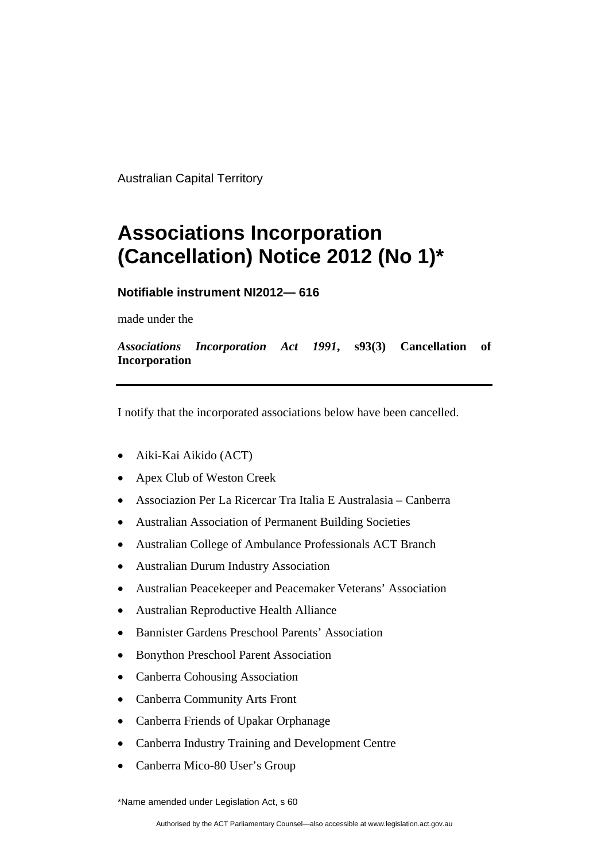Australian Capital Territory

## **Associations Incorporation (Cancellation) Notice 2012 (No 1)\***

## **Notifiable instrument NI2012— 616**

made under the

*Associations Incorporation Act 1991***, s93(3) Cancellation of Incorporation**

I notify that the incorporated associations below have been cancelled.

- Aiki-Kai Aikido (ACT)
- Apex Club of Weston Creek
- Associazion Per La Ricercar Tra Italia E Australasia Canberra
- Australian Association of Permanent Building Societies
- Australian College of Ambulance Professionals ACT Branch
- Australian Durum Industry Association
- Australian Peacekeeper and Peacemaker Veterans' Association
- Australian Reproductive Health Alliance
- Bannister Gardens Preschool Parents' Association
- Bonython Preschool Parent Association
- Canberra Cohousing Association
- Canberra Community Arts Front
- Canberra Friends of Upakar Orphanage
- Canberra Industry Training and Development Centre
- Canberra Mico-80 User's Group

\*Name amended under Legislation Act, s 60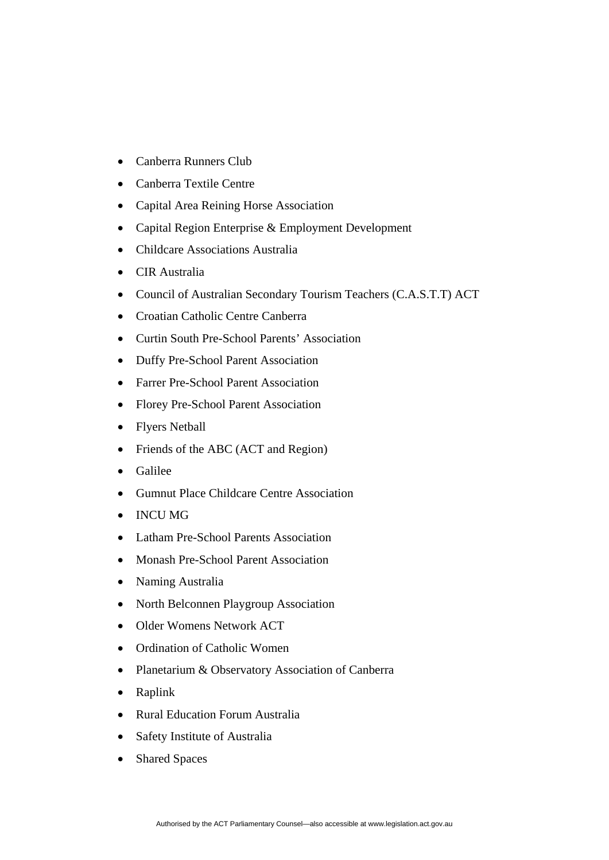- Canberra Runners Club
- Canberra Textile Centre
- Capital Area Reining Horse Association
- Capital Region Enterprise & Employment Development
- Childcare Associations Australia
- CIR Australia
- Council of Australian Secondary Tourism Teachers (C.A.S.T.T) ACT
- Croatian Catholic Centre Canberra
- Curtin South Pre-School Parents' Association
- Duffy Pre-School Parent Association
- Farrer Pre-School Parent Association
- Florey Pre-School Parent Association
- Flyers Netball
- Friends of the ABC (ACT and Region)
- Galilee
- Gumnut Place Childcare Centre Association
- INCU MG
- Latham Pre-School Parents Association
- Monash Pre-School Parent Association
- Naming Australia
- North Belconnen Playgroup Association
- Older Womens Network ACT
- Ordination of Catholic Women
- Planetarium & Observatory Association of Canberra
- Raplink
- Rural Education Forum Australia
- Safety Institute of Australia
- Shared Spaces